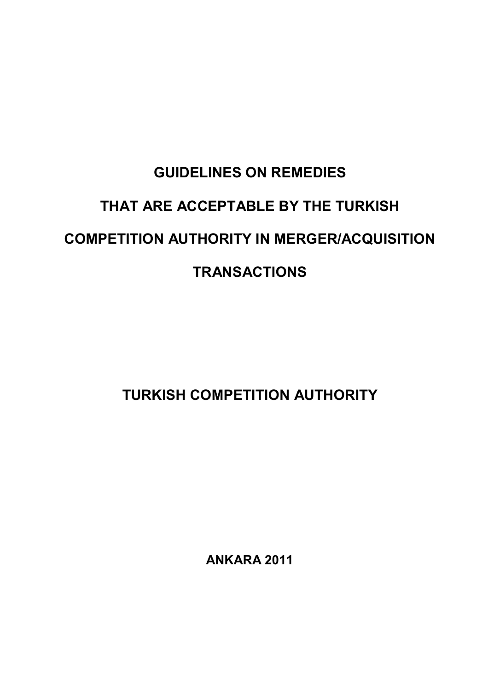# **GUIDELINES ON REMEDIES THAT ARE ACCEPTABLE BY THE TURKISH COMPETITION AUTHORITY IN MERGER/ACQUISITION TRANSACTIONS**

**TURKISH COMPETITION AUTHORITY** 

**ANKARA 2011**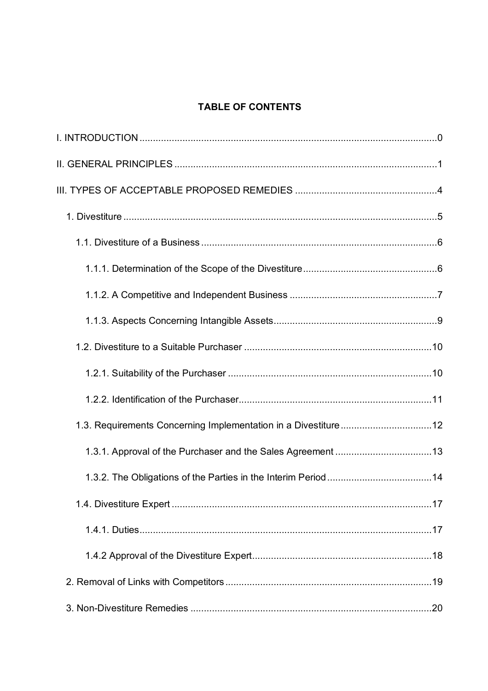# **TABLE OF CONTENTS**

| 1.3. Requirements Concerning Implementation in a Divestiture12 |  |
|----------------------------------------------------------------|--|
|                                                                |  |
|                                                                |  |
|                                                                |  |
|                                                                |  |
|                                                                |  |
|                                                                |  |
|                                                                |  |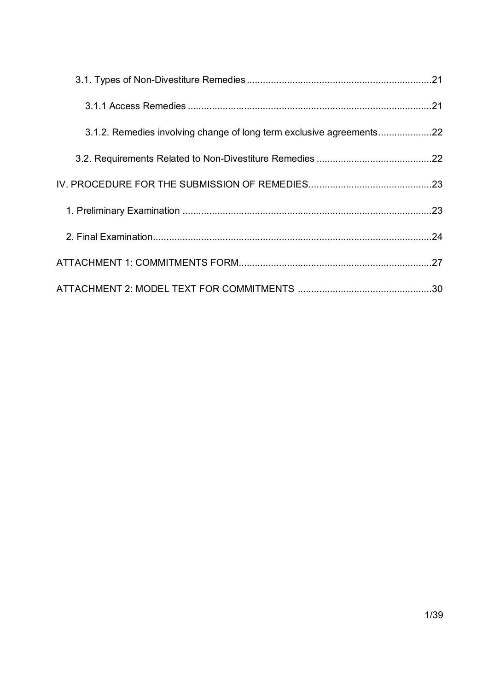| 3.1.2. Remedies involving change of long term exclusive agreements |  |
|--------------------------------------------------------------------|--|
|                                                                    |  |
|                                                                    |  |
|                                                                    |  |
|                                                                    |  |
|                                                                    |  |
|                                                                    |  |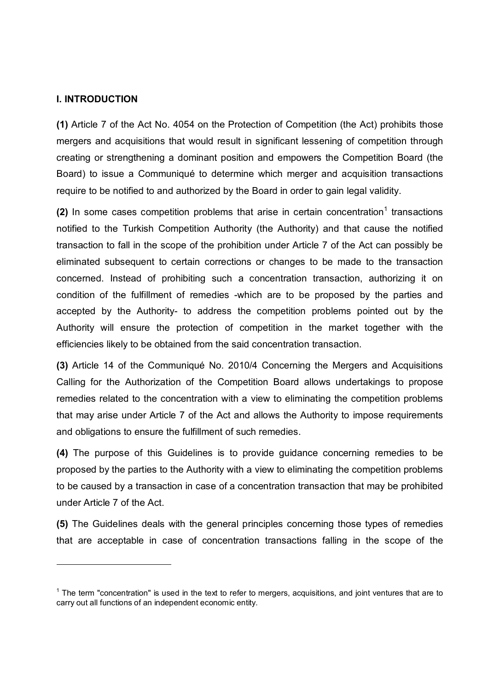#### **I. INTRODUCTION**

-

**(1)** Article 7 of the Act No. 4054 on the Protection of Competition (the Act) prohibits those mergers and acquisitions that would result in significant lessening of competition through creating or strengthening a dominant position and empowers the Competition Board (the Board) to issue a Communiqué to determine which merger and acquisition transactions require to be notified to and authorized by the Board in order to gain legal validity.

(2) In some cases competition problems that arise in certain concentration<sup>1</sup> transactions notified to the Turkish Competition Authority (the Authority) and that cause the notified transaction to fall in the scope of the prohibition under Article 7 of the Act can possibly be eliminated subsequent to certain corrections or changes to be made to the transaction concerned. Instead of prohibiting such a concentration transaction, authorizing it on condition of the fulfillment of remedies -which are to be proposed by the parties and accepted by the Authority- to address the competition problems pointed out by the Authority will ensure the protection of competition in the market together with the efficiencies likely to be obtained from the said concentration transaction.

**(3)** Article 14 of the Communiqué No. 2010/4 Concerning the Mergers and Acquisitions Calling for the Authorization of the Competition Board allows undertakings to propose remedies related to the concentration with a view to eliminating the competition problems that may arise under Article 7 of the Act and allows the Authority to impose requirements and obligations to ensure the fulfillment of such remedies.

**(4)** The purpose of this Guidelines is to provide guidance concerning remedies to be proposed by the parties to the Authority with a view to eliminating the competition problems to be caused by a transaction in case of a concentration transaction that may be prohibited under Article 7 of the Act.

**(5)** The Guidelines deals with the general principles concerning those types of remedies that are acceptable in case of concentration transactions falling in the scope of the

 $1$  The term "concentration" is used in the text to refer to mergers, acquisitions, and joint ventures that are to carry out all functions of an independent economic entity.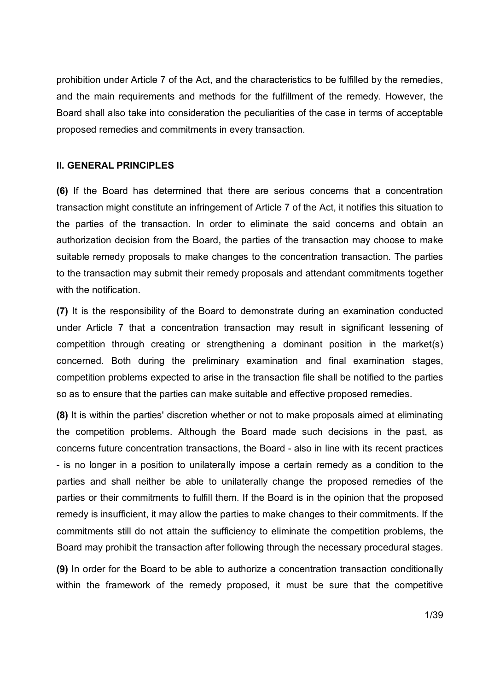prohibition under Article 7 of the Act, and the characteristics to be fulfilled by the remedies, and the main requirements and methods for the fulfillment of the remedy. However, the Board shall also take into consideration the peculiarities of the case in terms of acceptable proposed remedies and commitments in every transaction.

#### **II. GENERAL PRINCIPLES**

**(6)** If the Board has determined that there are serious concerns that a concentration transaction might constitute an infringement of Article 7 of the Act, it notifies this situation to the parties of the transaction. In order to eliminate the said concerns and obtain an authorization decision from the Board, the parties of the transaction may choose to make suitable remedy proposals to make changes to the concentration transaction. The parties to the transaction may submit their remedy proposals and attendant commitments together with the notification.

**(7)** It is the responsibility of the Board to demonstrate during an examination conducted under Article 7 that a concentration transaction may result in significant lessening of competition through creating or strengthening a dominant position in the market(s) concerned. Both during the preliminary examination and final examination stages, competition problems expected to arise in the transaction file shall be notified to the parties so as to ensure that the parties can make suitable and effective proposed remedies.

**(8)** It is within the parties' discretion whether or not to make proposals aimed at eliminating the competition problems. Although the Board made such decisions in the past, as concerns future concentration transactions, the Board - also in line with its recent practices - is no longer in a position to unilaterally impose a certain remedy as a condition to the parties and shall neither be able to unilaterally change the proposed remedies of the parties or their commitments to fulfill them. If the Board is in the opinion that the proposed remedy is insufficient, it may allow the parties to make changes to their commitments. If the commitments still do not attain the sufficiency to eliminate the competition problems, the Board may prohibit the transaction after following through the necessary procedural stages.

**(9)** In order for the Board to be able to authorize a concentration transaction conditionally within the framework of the remedy proposed, it must be sure that the competitive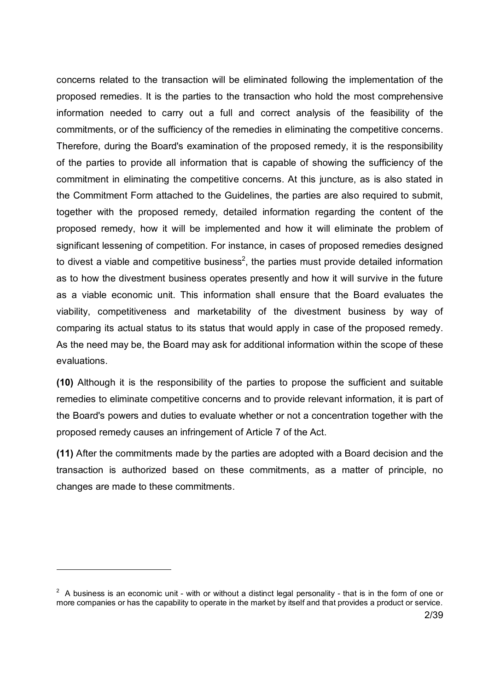concerns related to the transaction will be eliminated following the implementation of the proposed remedies. It is the parties to the transaction who hold the most comprehensive information needed to carry out a full and correct analysis of the feasibility of the commitments, or of the sufficiency of the remedies in eliminating the competitive concerns. Therefore, during the Board's examination of the proposed remedy, it is the responsibility of the parties to provide all information that is capable of showing the sufficiency of the commitment in eliminating the competitive concerns. At this juncture, as is also stated in the Commitment Form attached to the Guidelines, the parties are also required to submit, together with the proposed remedy, detailed information regarding the content of the proposed remedy, how it will be implemented and how it will eliminate the problem of significant lessening of competition. For instance, in cases of proposed remedies designed to divest a viable and competitive business<sup>2</sup>, the parties must provide detailed information as to how the divestment business operates presently and how it will survive in the future as a viable economic unit. This information shall ensure that the Board evaluates the viability, competitiveness and marketability of the divestment business by way of comparing its actual status to its status that would apply in case of the proposed remedy. As the need may be, the Board may ask for additional information within the scope of these evaluations.

**(10)** Although it is the responsibility of the parties to propose the sufficient and suitable remedies to eliminate competitive concerns and to provide relevant information, it is part of the Board's powers and duties to evaluate whether or not a concentration together with the proposed remedy causes an infringement of Article 7 of the Act.

**(11)** After the commitments made by the parties are adopted with a Board decision and the transaction is authorized based on these commitments, as a matter of principle, no changes are made to these commitments.

-

 $2$  A business is an economic unit - with or without a distinct legal personality - that is in the form of one or more companies or has the capability to operate in the market by itself and that provides a product or service.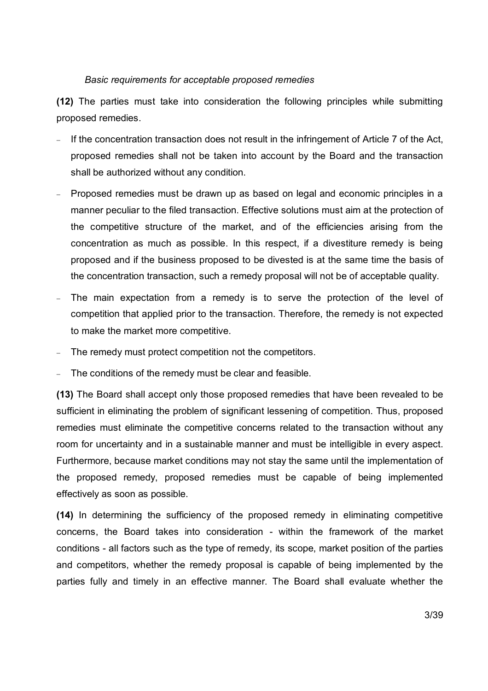## *Basic requirements for acceptable proposed remedies*

**(12)** The parties must take into consideration the following principles while submitting proposed remedies.

- If the concentration transaction does not result in the infringement of Article 7 of the Act, proposed remedies shall not be taken into account by the Board and the transaction shall be authorized without any condition.
- Proposed remedies must be drawn up as based on legal and economic principles in a manner peculiar to the filed transaction. Effective solutions must aim at the protection of the competitive structure of the market, and of the efficiencies arising from the concentration as much as possible. In this respect, if a divestiture remedy is being proposed and if the business proposed to be divested is at the same time the basis of the concentration transaction, such a remedy proposal will not be of acceptable quality.
- The main expectation from a remedy is to serve the protection of the level of competition that applied prior to the transaction. Therefore, the remedy is not expected to make the market more competitive.
- The remedy must protect competition not the competitors.
- The conditions of the remedy must be clear and feasible.

**(13)** The Board shall accept only those proposed remedies that have been revealed to be sufficient in eliminating the problem of significant lessening of competition. Thus, proposed remedies must eliminate the competitive concerns related to the transaction without any room for uncertainty and in a sustainable manner and must be intelligible in every aspect. Furthermore, because market conditions may not stay the same until the implementation of the proposed remedy, proposed remedies must be capable of being implemented effectively as soon as possible.

**(14)** In determining the sufficiency of the proposed remedy in eliminating competitive concerns, the Board takes into consideration - within the framework of the market conditions - all factors such as the type of remedy, its scope, market position of the parties and competitors, whether the remedy proposal is capable of being implemented by the parties fully and timely in an effective manner. The Board shall evaluate whether the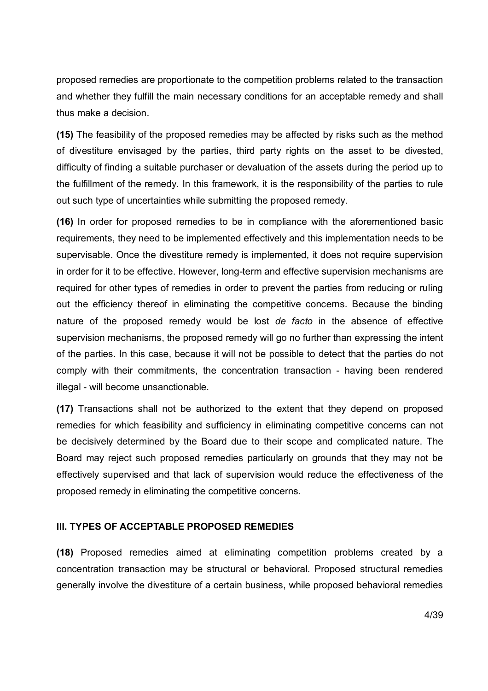proposed remedies are proportionate to the competition problems related to the transaction and whether they fulfill the main necessary conditions for an acceptable remedy and shall thus make a decision.

**(15)** The feasibility of the proposed remedies may be affected by risks such as the method of divestiture envisaged by the parties, third party rights on the asset to be divested, difficulty of finding a suitable purchaser or devaluation of the assets during the period up to the fulfillment of the remedy. In this framework, it is the responsibility of the parties to rule out such type of uncertainties while submitting the proposed remedy.

**(16)** In order for proposed remedies to be in compliance with the aforementioned basic requirements, they need to be implemented effectively and this implementation needs to be supervisable. Once the divestiture remedy is implemented, it does not require supervision in order for it to be effective. However, long-term and effective supervision mechanisms are required for other types of remedies in order to prevent the parties from reducing or ruling out the efficiency thereof in eliminating the competitive concerns. Because the binding nature of the proposed remedy would be lost *de facto* in the absence of effective supervision mechanisms, the proposed remedy will go no further than expressing the intent of the parties. In this case, because it will not be possible to detect that the parties do not comply with their commitments, the concentration transaction - having been rendered illegal - will become unsanctionable.

**(17)** Transactions shall not be authorized to the extent that they depend on proposed remedies for which feasibility and sufficiency in eliminating competitive concerns can not be decisively determined by the Board due to their scope and complicated nature. The Board may reject such proposed remedies particularly on grounds that they may not be effectively supervised and that lack of supervision would reduce the effectiveness of the proposed remedy in eliminating the competitive concerns.

#### **III. TYPES OF ACCEPTABLE PROPOSED REMEDIES**

**(18)** Proposed remedies aimed at eliminating competition problems created by a concentration transaction may be structural or behavioral. Proposed structural remedies generally involve the divestiture of a certain business, while proposed behavioral remedies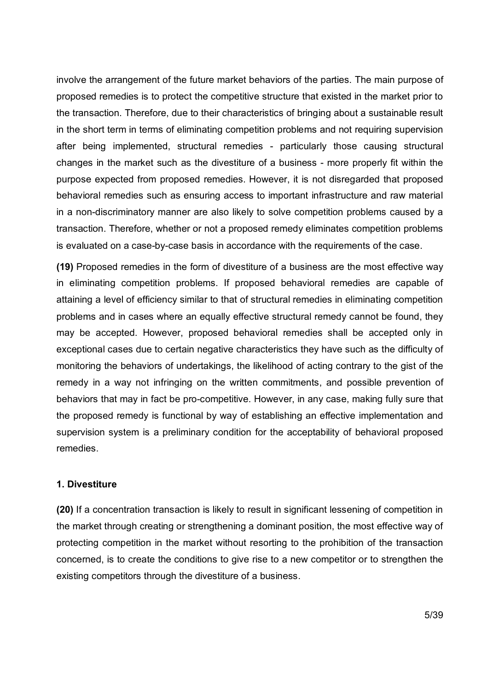involve the arrangement of the future market behaviors of the parties. The main purpose of proposed remedies is to protect the competitive structure that existed in the market prior to the transaction. Therefore, due to their characteristics of bringing about a sustainable result in the short term in terms of eliminating competition problems and not requiring supervision after being implemented, structural remedies - particularly those causing structural changes in the market such as the divestiture of a business - more properly fit within the purpose expected from proposed remedies. However, it is not disregarded that proposed behavioral remedies such as ensuring access to important infrastructure and raw material in a non-discriminatory manner are also likely to solve competition problems caused by a transaction. Therefore, whether or not a proposed remedy eliminates competition problems is evaluated on a case-by-case basis in accordance with the requirements of the case.

**(19)** Proposed remedies in the form of divestiture of a business are the most effective way in eliminating competition problems. If proposed behavioral remedies are capable of attaining a level of efficiency similar to that of structural remedies in eliminating competition problems and in cases where an equally effective structural remedy cannot be found, they may be accepted. However, proposed behavioral remedies shall be accepted only in exceptional cases due to certain negative characteristics they have such as the difficulty of monitoring the behaviors of undertakings, the likelihood of acting contrary to the gist of the remedy in a way not infringing on the written commitments, and possible prevention of behaviors that may in fact be pro-competitive. However, in any case, making fully sure that the proposed remedy is functional by way of establishing an effective implementation and supervision system is a preliminary condition for the acceptability of behavioral proposed remedies.

# **1. Divestiture**

**(20)** If a concentration transaction is likely to result in significant lessening of competition in the market through creating or strengthening a dominant position, the most effective way of protecting competition in the market without resorting to the prohibition of the transaction concerned, is to create the conditions to give rise to a new competitor or to strengthen the existing competitors through the divestiture of a business.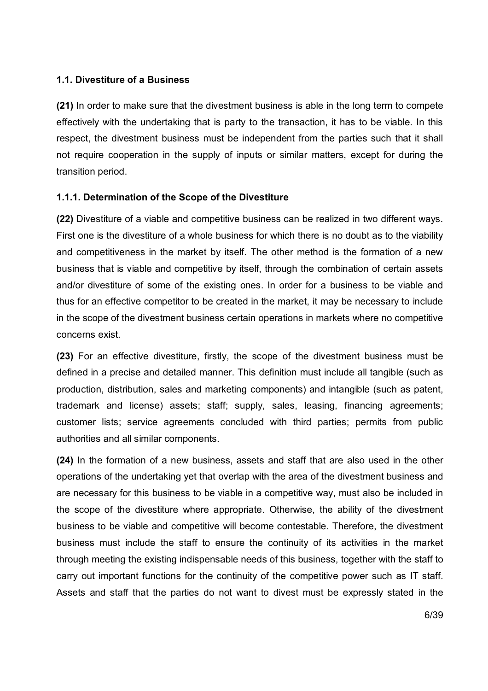# **1.1. Divestiture of a Business**

**(21)** In order to make sure that the divestment business is able in the long term to compete effectively with the undertaking that is party to the transaction, it has to be viable. In this respect, the divestment business must be independent from the parties such that it shall not require cooperation in the supply of inputs or similar matters, except for during the transition period.

# **1.1.1. Determination of the Scope of the Divestiture**

**(22)** Divestiture of a viable and competitive business can be realized in two different ways. First one is the divestiture of a whole business for which there is no doubt as to the viability and competitiveness in the market by itself. The other method is the formation of a new business that is viable and competitive by itself, through the combination of certain assets and/or divestiture of some of the existing ones. In order for a business to be viable and thus for an effective competitor to be created in the market, it may be necessary to include in the scope of the divestment business certain operations in markets where no competitive concerns exist.

**(23)** For an effective divestiture, firstly, the scope of the divestment business must be defined in a precise and detailed manner. This definition must include all tangible (such as production, distribution, sales and marketing components) and intangible (such as patent, trademark and license) assets; staff; supply, sales, leasing, financing agreements; customer lists; service agreements concluded with third parties; permits from public authorities and all similar components.

**(24)** In the formation of a new business, assets and staff that are also used in the other operations of the undertaking yet that overlap with the area of the divestment business and are necessary for this business to be viable in a competitive way, must also be included in the scope of the divestiture where appropriate. Otherwise, the ability of the divestment business to be viable and competitive will become contestable. Therefore, the divestment business must include the staff to ensure the continuity of its activities in the market through meeting the existing indispensable needs of this business, together with the staff to carry out important functions for the continuity of the competitive power such as IT staff. Assets and staff that the parties do not want to divest must be expressly stated in the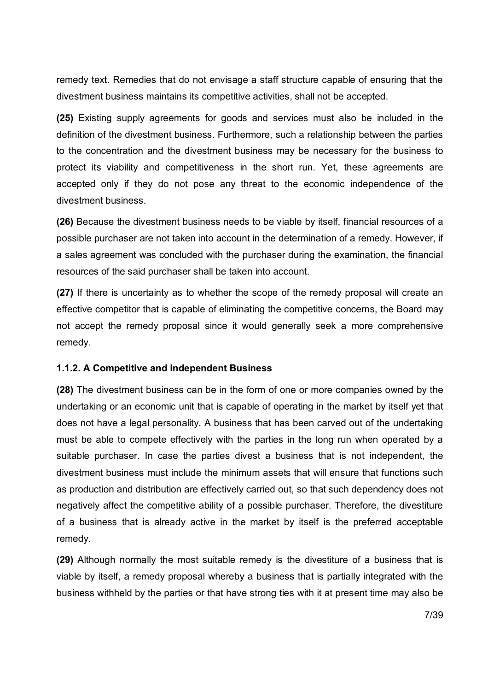remedy text. Remedies that do not envisage a staff structure capable of ensuring that the divestment business maintains its competitive activities, shall not be accepted.

**(25)** Existing supply agreements for goods and services must also be included in the definition of the divestment business. Furthermore, such a relationship between the parties to the concentration and the divestment business may be necessary for the business to protect its viability and competitiveness in the short run. Yet, these agreements are accepted only if they do not pose any threat to the economic independence of the divestment business.

**(26)** Because the divestment business needs to be viable by itself, financial resources of a possible purchaser are not taken into account in the determination of a remedy. However, if a sales agreement was concluded with the purchaser during the examination, the financial resources of the said purchaser shall be taken into account.

**(27)** If there is uncertainty as to whether the scope of the remedy proposal will create an effective competitor that is capable of eliminating the competitive concerns, the Board may not accept the remedy proposal since it would generally seek a more comprehensive remedy.

#### **1.1.2. A Competitive and Independent Business**

**(28)** The divestment business can be in the form of one or more companies owned by the undertaking or an economic unit that is capable of operating in the market by itself yet that does not have a legal personality. A business that has been carved out of the undertaking must be able to compete effectively with the parties in the long run when operated by a suitable purchaser. In case the parties divest a business that is not independent, the divestment business must include the minimum assets that will ensure that functions such as production and distribution are effectively carried out, so that such dependency does not negatively affect the competitive ability of a possible purchaser. Therefore, the divestiture of a business that is already active in the market by itself is the preferred acceptable remedy.

**(29)** Although normally the most suitable remedy is the divestiture of a business that is viable by itself, a remedy proposal whereby a business that is partially integrated with the business withheld by the parties or that have strong ties with it at present time may also be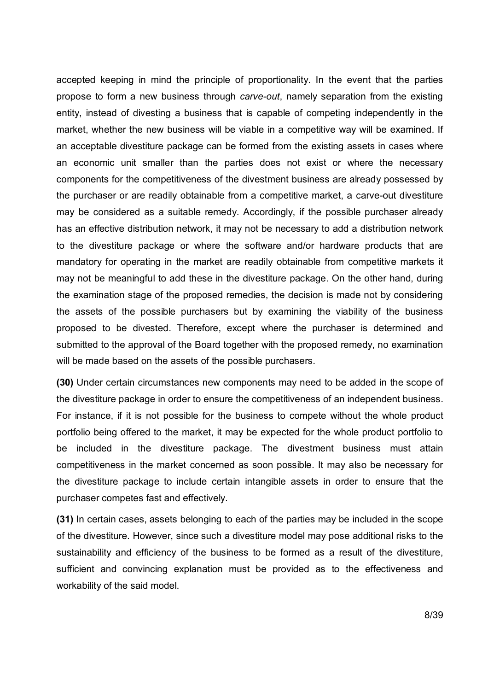accepted keeping in mind the principle of proportionality. In the event that the parties propose to form a new business through *carve-out*, namely separation from the existing entity, instead of divesting a business that is capable of competing independently in the market, whether the new business will be viable in a competitive way will be examined. If an acceptable divestiture package can be formed from the existing assets in cases where an economic unit smaller than the parties does not exist or where the necessary components for the competitiveness of the divestment business are already possessed by the purchaser or are readily obtainable from a competitive market, a carve-out divestiture may be considered as a suitable remedy. Accordingly, if the possible purchaser already has an effective distribution network, it may not be necessary to add a distribution network to the divestiture package or where the software and/or hardware products that are mandatory for operating in the market are readily obtainable from competitive markets it may not be meaningful to add these in the divestiture package. On the other hand, during the examination stage of the proposed remedies, the decision is made not by considering the assets of the possible purchasers but by examining the viability of the business proposed to be divested. Therefore, except where the purchaser is determined and submitted to the approval of the Board together with the proposed remedy, no examination will be made based on the assets of the possible purchasers.

**(30)** Under certain circumstances new components may need to be added in the scope of the divestiture package in order to ensure the competitiveness of an independent business. For instance, if it is not possible for the business to compete without the whole product portfolio being offered to the market, it may be expected for the whole product portfolio to be included in the divestiture package. The divestment business must attain competitiveness in the market concerned as soon possible. It may also be necessary for the divestiture package to include certain intangible assets in order to ensure that the purchaser competes fast and effectively.

**(31)** In certain cases, assets belonging to each of the parties may be included in the scope of the divestiture. However, since such a divestiture model may pose additional risks to the sustainability and efficiency of the business to be formed as a result of the divestiture, sufficient and convincing explanation must be provided as to the effectiveness and workability of the said model.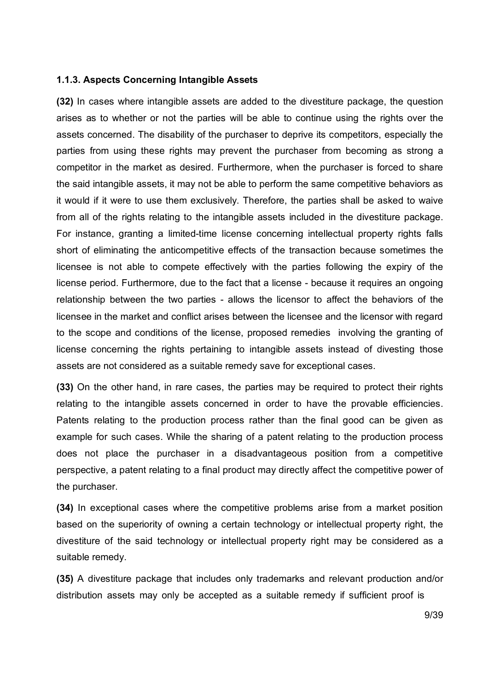#### **1.1.3. Aspects Concerning Intangible Assets**

**(32)** In cases where intangible assets are added to the divestiture package, the question arises as to whether or not the parties will be able to continue using the rights over the assets concerned. The disability of the purchaser to deprive its competitors, especially the parties from using these rights may prevent the purchaser from becoming as strong a competitor in the market as desired. Furthermore, when the purchaser is forced to share the said intangible assets, it may not be able to perform the same competitive behaviors as it would if it were to use them exclusively. Therefore, the parties shall be asked to waive from all of the rights relating to the intangible assets included in the divestiture package. For instance, granting a limited-time license concerning intellectual property rights falls short of eliminating the anticompetitive effects of the transaction because sometimes the licensee is not able to compete effectively with the parties following the expiry of the license period. Furthermore, due to the fact that a license - because it requires an ongoing relationship between the two parties - allows the licensor to affect the behaviors of the licensee in the market and conflict arises between the licensee and the licensor with regard to the scope and conditions of the license, proposed remedies involving the granting of license concerning the rights pertaining to intangible assets instead of divesting those assets are not considered as a suitable remedy save for exceptional cases.

**(33)** On the other hand, in rare cases, the parties may be required to protect their rights relating to the intangible assets concerned in order to have the provable efficiencies. Patents relating to the production process rather than the final good can be given as example for such cases. While the sharing of a patent relating to the production process does not place the purchaser in a disadvantageous position from a competitive perspective, a patent relating to a final product may directly affect the competitive power of the purchaser.

**(34)** In exceptional cases where the competitive problems arise from a market position based on the superiority of owning a certain technology or intellectual property right, the divestiture of the said technology or intellectual property right may be considered as a suitable remedy.

**(35)** A divestiture package that includes only trademarks and relevant production and/or distribution assets may only be accepted as a suitable remedy if sufficient proof is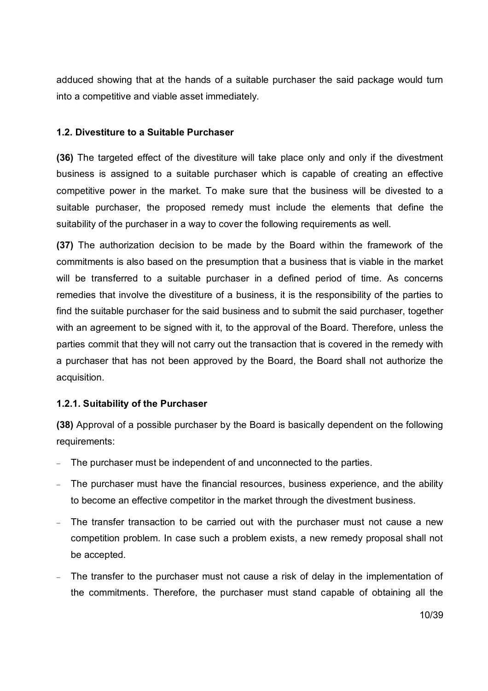adduced showing that at the hands of a suitable purchaser the said package would turn into a competitive and viable asset immediately.

# **1.2. Divestiture to a Suitable Purchaser**

**(36)** The targeted effect of the divestiture will take place only and only if the divestment business is assigned to a suitable purchaser which is capable of creating an effective competitive power in the market. To make sure that the business will be divested to a suitable purchaser, the proposed remedy must include the elements that define the suitability of the purchaser in a way to cover the following requirements as well.

**(37)** The authorization decision to be made by the Board within the framework of the commitments is also based on the presumption that a business that is viable in the market will be transferred to a suitable purchaser in a defined period of time. As concerns remedies that involve the divestiture of a business, it is the responsibility of the parties to find the suitable purchaser for the said business and to submit the said purchaser, together with an agreement to be signed with it, to the approval of the Board. Therefore, unless the parties commit that they will not carry out the transaction that is covered in the remedy with a purchaser that has not been approved by the Board, the Board shall not authorize the acquisition.

# **1.2.1. Suitability of the Purchaser**

**(38)** Approval of a possible purchaser by the Board is basically dependent on the following requirements:

- The purchaser must be independent of and unconnected to the parties.
- The purchaser must have the financial resources, business experience, and the ability to become an effective competitor in the market through the divestment business.
- The transfer transaction to be carried out with the purchaser must not cause a new competition problem. In case such a problem exists, a new remedy proposal shall not be accepted.
- The transfer to the purchaser must not cause a risk of delay in the implementation of the commitments. Therefore, the purchaser must stand capable of obtaining all the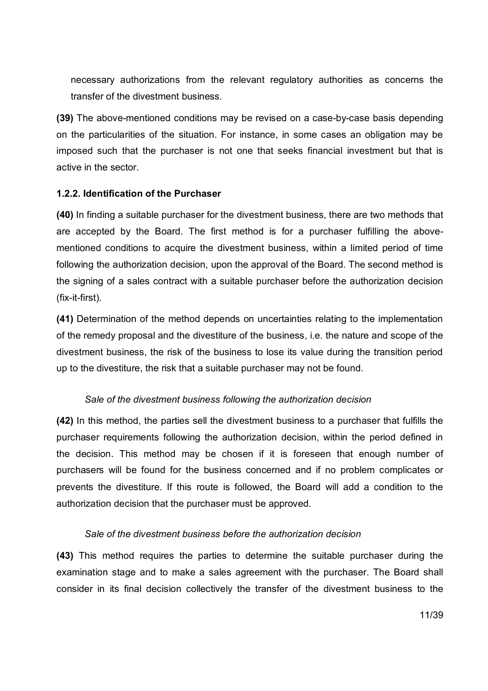necessary authorizations from the relevant regulatory authorities as concerns the transfer of the divestment business.

**(39)** The above-mentioned conditions may be revised on a case-by-case basis depending on the particularities of the situation. For instance, in some cases an obligation may be imposed such that the purchaser is not one that seeks financial investment but that is active in the sector.

# **1.2.2. Identification of the Purchaser**

**(40)** In finding a suitable purchaser for the divestment business, there are two methods that are accepted by the Board. The first method is for a purchaser fulfilling the abovementioned conditions to acquire the divestment business, within a limited period of time following the authorization decision, upon the approval of the Board. The second method is the signing of a sales contract with a suitable purchaser before the authorization decision (fix-it-first).

**(41)** Determination of the method depends on uncertainties relating to the implementation of the remedy proposal and the divestiture of the business, i.e. the nature and scope of the divestment business, the risk of the business to lose its value during the transition period up to the divestiture, the risk that a suitable purchaser may not be found.

# *Sale of the divestment business following the authorization decision*

**(42)** In this method, the parties sell the divestment business to a purchaser that fulfills the purchaser requirements following the authorization decision, within the period defined in the decision. This method may be chosen if it is foreseen that enough number of purchasers will be found for the business concerned and if no problem complicates or prevents the divestiture. If this route is followed, the Board will add a condition to the authorization decision that the purchaser must be approved.

#### *Sale of the divestment business before the authorization decision*

**(43)** This method requires the parties to determine the suitable purchaser during the examination stage and to make a sales agreement with the purchaser. The Board shall consider in its final decision collectively the transfer of the divestment business to the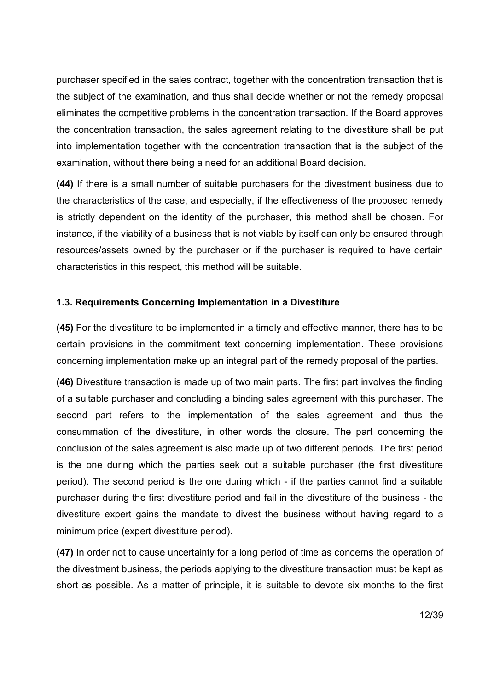purchaser specified in the sales contract, together with the concentration transaction that is the subject of the examination, and thus shall decide whether or not the remedy proposal eliminates the competitive problems in the concentration transaction. If the Board approves the concentration transaction, the sales agreement relating to the divestiture shall be put into implementation together with the concentration transaction that is the subject of the examination, without there being a need for an additional Board decision.

**(44)** If there is a small number of suitable purchasers for the divestment business due to the characteristics of the case, and especially, if the effectiveness of the proposed remedy is strictly dependent on the identity of the purchaser, this method shall be chosen. For instance, if the viability of a business that is not viable by itself can only be ensured through resources/assets owned by the purchaser or if the purchaser is required to have certain characteristics in this respect, this method will be suitable.

# **1.3. Requirements Concerning Implementation in a Divestiture**

**(45)** For the divestiture to be implemented in a timely and effective manner, there has to be certain provisions in the commitment text concerning implementation. These provisions concerning implementation make up an integral part of the remedy proposal of the parties.

**(46)** Divestiture transaction is made up of two main parts. The first part involves the finding of a suitable purchaser and concluding a binding sales agreement with this purchaser. The second part refers to the implementation of the sales agreement and thus the consummation of the divestiture, in other words the closure. The part concerning the conclusion of the sales agreement is also made up of two different periods. The first period is the one during which the parties seek out a suitable purchaser (the first divestiture period). The second period is the one during which - if the parties cannot find a suitable purchaser during the first divestiture period and fail in the divestiture of the business - the divestiture expert gains the mandate to divest the business without having regard to a minimum price (expert divestiture period).

**(47)** In order not to cause uncertainty for a long period of time as concerns the operation of the divestment business, the periods applying to the divestiture transaction must be kept as short as possible. As a matter of principle, it is suitable to devote six months to the first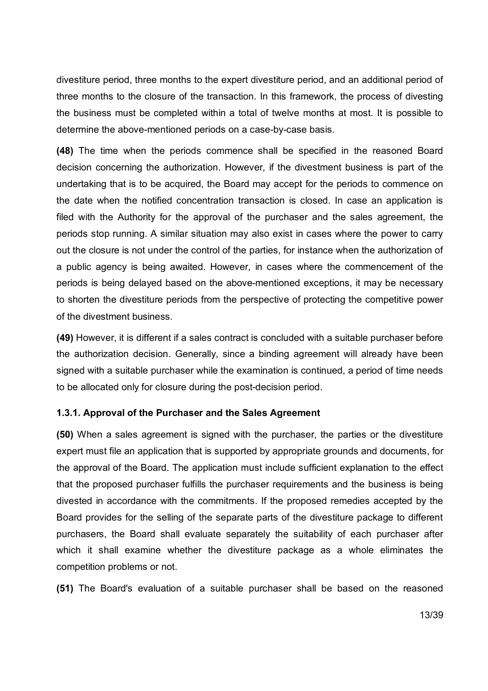divestiture period, three months to the expert divestiture period, and an additional period of three months to the closure of the transaction. In this framework, the process of divesting the business must be completed within a total of twelve months at most. It is possible to determine the above-mentioned periods on a case-by-case basis.

**(48)** The time when the periods commence shall be specified in the reasoned Board decision concerning the authorization. However, if the divestment business is part of the undertaking that is to be acquired, the Board may accept for the periods to commence on the date when the notified concentration transaction is closed. In case an application is filed with the Authority for the approval of the purchaser and the sales agreement, the periods stop running. A similar situation may also exist in cases where the power to carry out the closure is not under the control of the parties, for instance when the authorization of a public agency is being awaited. However, in cases where the commencement of the periods is being delayed based on the above-mentioned exceptions, it may be necessary to shorten the divestiture periods from the perspective of protecting the competitive power of the divestment business.

**(49)** However, it is different if a sales contract is concluded with a suitable purchaser before the authorization decision. Generally, since a binding agreement will already have been signed with a suitable purchaser while the examination is continued, a period of time needs to be allocated only for closure during the post-decision period.

#### **1.3.1. Approval of the Purchaser and the Sales Agreement**

**(50)** When a sales agreement is signed with the purchaser, the parties or the divestiture expert must file an application that is supported by appropriate grounds and documents, for the approval of the Board. The application must include sufficient explanation to the effect that the proposed purchaser fulfills the purchaser requirements and the business is being divested in accordance with the commitments. If the proposed remedies accepted by the Board provides for the selling of the separate parts of the divestiture package to different purchasers, the Board shall evaluate separately the suitability of each purchaser after which it shall examine whether the divestiture package as a whole eliminates the competition problems or not.

**(51)** The Board's evaluation of a suitable purchaser shall be based on the reasoned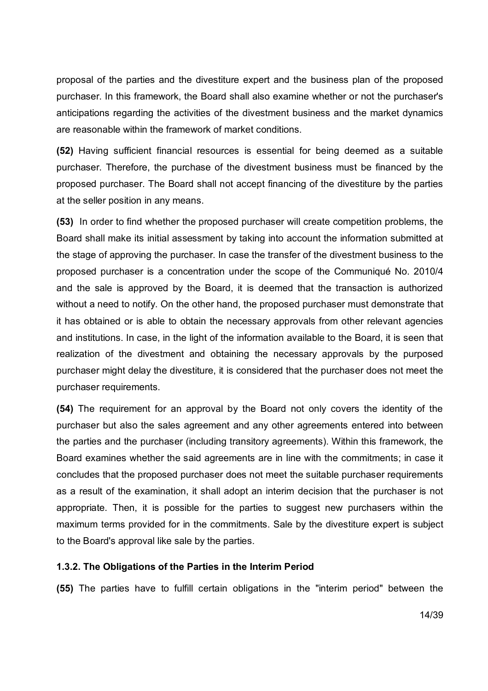proposal of the parties and the divestiture expert and the business plan of the proposed purchaser. In this framework, the Board shall also examine whether or not the purchaser's anticipations regarding the activities of the divestment business and the market dynamics are reasonable within the framework of market conditions.

**(52)** Having sufficient financial resources is essential for being deemed as a suitable purchaser. Therefore, the purchase of the divestment business must be financed by the proposed purchaser. The Board shall not accept financing of the divestiture by the parties at the seller position in any means.

**(53)** In order to find whether the proposed purchaser will create competition problems, the Board shall make its initial assessment by taking into account the information submitted at the stage of approving the purchaser. In case the transfer of the divestment business to the proposed purchaser is a concentration under the scope of the Communiqué No. 2010/4 and the sale is approved by the Board, it is deemed that the transaction is authorized without a need to notify. On the other hand, the proposed purchaser must demonstrate that it has obtained or is able to obtain the necessary approvals from other relevant agencies and institutions. In case, in the light of the information available to the Board, it is seen that realization of the divestment and obtaining the necessary approvals by the purposed purchaser might delay the divestiture, it is considered that the purchaser does not meet the purchaser requirements.

**(54)** The requirement for an approval by the Board not only covers the identity of the purchaser but also the sales agreement and any other agreements entered into between the parties and the purchaser (including transitory agreements). Within this framework, the Board examines whether the said agreements are in line with the commitments; in case it concludes that the proposed purchaser does not meet the suitable purchaser requirements as a result of the examination, it shall adopt an interim decision that the purchaser is not appropriate. Then, it is possible for the parties to suggest new purchasers within the maximum terms provided for in the commitments. Sale by the divestiture expert is subject to the Board's approval like sale by the parties.

#### **1.3.2. The Obligations of the Parties in the Interim Period**

**(55)** The parties have to fulfill certain obligations in the "interim period" between the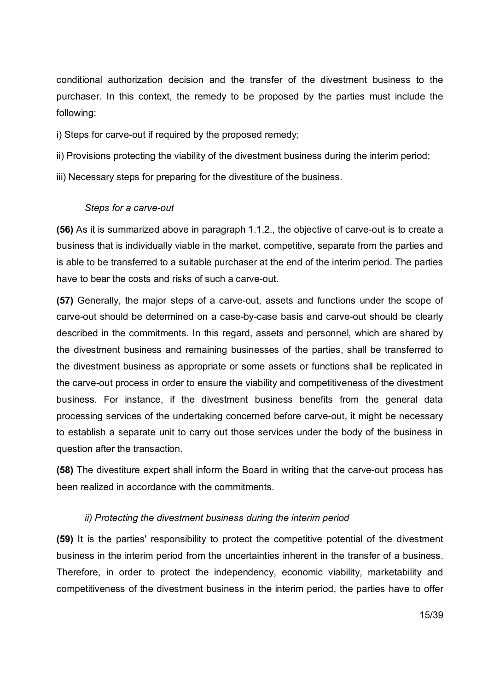conditional authorization decision and the transfer of the divestment business to the purchaser. In this context, the remedy to be proposed by the parties must include the following:

i) Steps for carve-out if required by the proposed remedy;

ii) Provisions protecting the viability of the divestment business during the interim period;

iii) Necessary steps for preparing for the divestiture of the business.

#### *Steps for a carve-out*

**(56)** As it is summarized above in paragraph 1.1.2., the objective of carve-out is to create a business that is individually viable in the market, competitive, separate from the parties and is able to be transferred to a suitable purchaser at the end of the interim period. The parties have to bear the costs and risks of such a carve-out.

**(57)** Generally, the major steps of a carve-out, assets and functions under the scope of carve-out should be determined on a case-by-case basis and carve-out should be clearly described in the commitments. In this regard, assets and personnel, which are shared by the divestment business and remaining businesses of the parties, shall be transferred to the divestment business as appropriate or some assets or functions shall be replicated in the carve-out process in order to ensure the viability and competitiveness of the divestment business. For instance, if the divestment business benefits from the general data processing services of the undertaking concerned before carve-out, it might be necessary to establish a separate unit to carry out those services under the body of the business in question after the transaction.

**(58)** The divestiture expert shall inform the Board in writing that the carve-out process has been realized in accordance with the commitments.

# *ii) Protecting the divestment business during the interim period*

**(59)** It is the parties' responsibility to protect the competitive potential of the divestment business in the interim period from the uncertainties inherent in the transfer of a business. Therefore, in order to protect the independency, economic viability, marketability and competitiveness of the divestment business in the interim period, the parties have to offer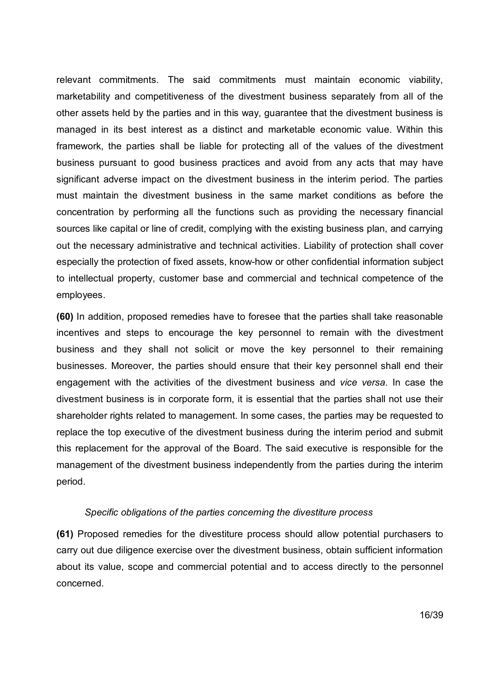relevant commitments. The said commitments must maintain economic viability, marketability and competitiveness of the divestment business separately from all of the other assets held by the parties and in this way, guarantee that the divestment business is managed in its best interest as a distinct and marketable economic value. Within this framework, the parties shall be liable for protecting all of the values of the divestment business pursuant to good business practices and avoid from any acts that may have significant adverse impact on the divestment business in the interim period. The parties must maintain the divestment business in the same market conditions as before the concentration by performing all the functions such as providing the necessary financial sources like capital or line of credit, complying with the existing business plan, and carrying out the necessary administrative and technical activities. Liability of protection shall cover especially the protection of fixed assets, know-how or other confidential information subject to intellectual property, customer base and commercial and technical competence of the employees.

**(60)** In addition, proposed remedies have to foresee that the parties shall take reasonable incentives and steps to encourage the key personnel to remain with the divestment business and they shall not solicit or move the key personnel to their remaining businesses. Moreover, the parties should ensure that their key personnel shall end their engagement with the activities of the divestment business and *vice versa*. In case the divestment business is in corporate form, it is essential that the parties shall not use their shareholder rights related to management. In some cases, the parties may be requested to replace the top executive of the divestment business during the interim period and submit this replacement for the approval of the Board. The said executive is responsible for the management of the divestment business independently from the parties during the interim period.

#### *Specific obligations of the parties concerning the divestiture process*

**(61)** Proposed remedies for the divestiture process should allow potential purchasers to carry out due diligence exercise over the divestment business, obtain sufficient information about its value, scope and commercial potential and to access directly to the personnel concerned.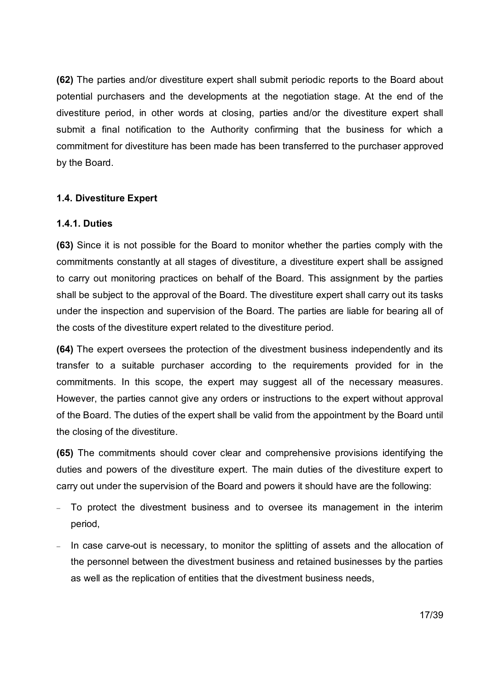**(62)** The parties and/or divestiture expert shall submit periodic reports to the Board about potential purchasers and the developments at the negotiation stage. At the end of the divestiture period, in other words at closing, parties and/or the divestiture expert shall submit a final notification to the Authority confirming that the business for which a commitment for divestiture has been made has been transferred to the purchaser approved by the Board.

# **1.4. Divestiture Expert**

#### **1.4.1. Duties**

**(63)** Since it is not possible for the Board to monitor whether the parties comply with the commitments constantly at all stages of divestiture, a divestiture expert shall be assigned to carry out monitoring practices on behalf of the Board. This assignment by the parties shall be subject to the approval of the Board. The divestiture expert shall carry out its tasks under the inspection and supervision of the Board. The parties are liable for bearing all of the costs of the divestiture expert related to the divestiture period.

**(64)** The expert oversees the protection of the divestment business independently and its transfer to a suitable purchaser according to the requirements provided for in the commitments. In this scope, the expert may suggest all of the necessary measures. However, the parties cannot give any orders or instructions to the expert without approval of the Board. The duties of the expert shall be valid from the appointment by the Board until the closing of the divestiture.

**(65)** The commitments should cover clear and comprehensive provisions identifying the duties and powers of the divestiture expert. The main duties of the divestiture expert to carry out under the supervision of the Board and powers it should have are the following:

- To protect the divestment business and to oversee its management in the interim period,
- In case carve-out is necessary, to monitor the splitting of assets and the allocation of the personnel between the divestment business and retained businesses by the parties as well as the replication of entities that the divestment business needs,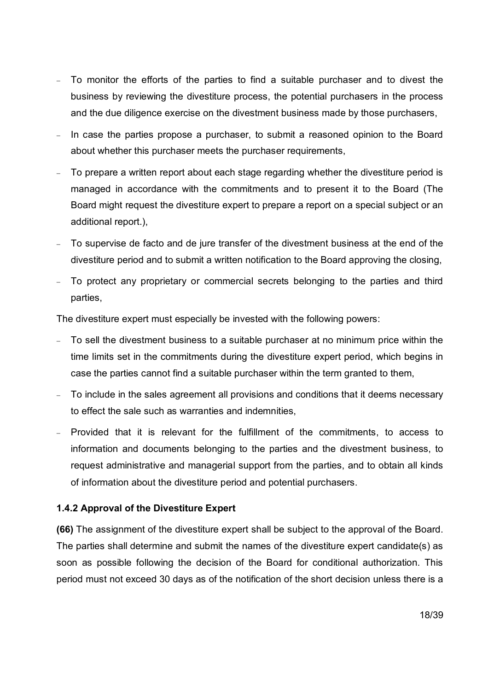- To monitor the efforts of the parties to find a suitable purchaser and to divest the business by reviewing the divestiture process, the potential purchasers in the process and the due diligence exercise on the divestment business made by those purchasers,
- In case the parties propose a purchaser, to submit a reasoned opinion to the Board about whether this purchaser meets the purchaser requirements,
- To prepare a written report about each stage regarding whether the divestiture period is managed in accordance with the commitments and to present it to the Board (The Board might request the divestiture expert to prepare a report on a special subject or an additional report.),
- To supervise de facto and de jure transfer of the divestment business at the end of the divestiture period and to submit a written notification to the Board approving the closing,
- To protect any proprietary or commercial secrets belonging to the parties and third parties,

The divestiture expert must especially be invested with the following powers:

- To sell the divestment business to a suitable purchaser at no minimum price within the time limits set in the commitments during the divestiture expert period, which begins in case the parties cannot find a suitable purchaser within the term granted to them,
- To include in the sales agreement all provisions and conditions that it deems necessary to effect the sale such as warranties and indemnities,
- Provided that it is relevant for the fulfillment of the commitments, to access to information and documents belonging to the parties and the divestment business, to request administrative and managerial support from the parties, and to obtain all kinds of information about the divestiture period and potential purchasers.

# **1.4.2 Approval of the Divestiture Expert**

**(66)** The assignment of the divestiture expert shall be subject to the approval of the Board. The parties shall determine and submit the names of the divestiture expert candidate(s) as soon as possible following the decision of the Board for conditional authorization. This period must not exceed 30 days as of the notification of the short decision unless there is a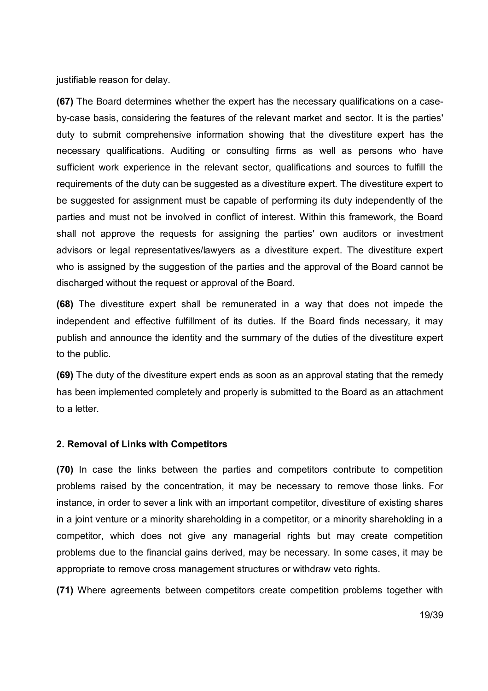justifiable reason for delay.

**(67)** The Board determines whether the expert has the necessary qualifications on a caseby-case basis, considering the features of the relevant market and sector. It is the parties' duty to submit comprehensive information showing that the divestiture expert has the necessary qualifications. Auditing or consulting firms as well as persons who have sufficient work experience in the relevant sector, qualifications and sources to fulfill the requirements of the duty can be suggested as a divestiture expert. The divestiture expert to be suggested for assignment must be capable of performing its duty independently of the parties and must not be involved in conflict of interest. Within this framework, the Board shall not approve the requests for assigning the parties' own auditors or investment advisors or legal representatives/lawyers as a divestiture expert. The divestiture expert who is assigned by the suggestion of the parties and the approval of the Board cannot be discharged without the request or approval of the Board.

**(68)** The divestiture expert shall be remunerated in a way that does not impede the independent and effective fulfillment of its duties. If the Board finds necessary, it may publish and announce the identity and the summary of the duties of the divestiture expert to the public.

**(69)** The duty of the divestiture expert ends as soon as an approval stating that the remedy has been implemented completely and properly is submitted to the Board as an attachment to a letter.

#### **2. Removal of Links with Competitors**

**(70)** In case the links between the parties and competitors contribute to competition problems raised by the concentration, it may be necessary to remove those links. For instance, in order to sever a link with an important competitor, divestiture of existing shares in a joint venture or a minority shareholding in a competitor, or a minority shareholding in a competitor, which does not give any managerial rights but may create competition problems due to the financial gains derived, may be necessary. In some cases, it may be appropriate to remove cross management structures or withdraw veto rights.

**(71)** Where agreements between competitors create competition problems together with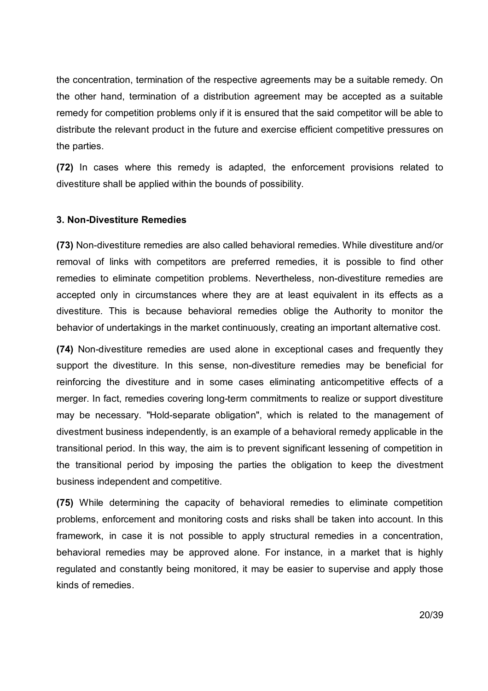the concentration, termination of the respective agreements may be a suitable remedy. On the other hand, termination of a distribution agreement may be accepted as a suitable remedy for competition problems only if it is ensured that the said competitor will be able to distribute the relevant product in the future and exercise efficient competitive pressures on the parties.

**(72)** In cases where this remedy is adapted, the enforcement provisions related to divestiture shall be applied within the bounds of possibility.

## **3. Non-Divestiture Remedies**

**(73)** Non-divestiture remedies are also called behavioral remedies. While divestiture and/or removal of links with competitors are preferred remedies, it is possible to find other remedies to eliminate competition problems. Nevertheless, non-divestiture remedies are accepted only in circumstances where they are at least equivalent in its effects as a divestiture. This is because behavioral remedies oblige the Authority to monitor the behavior of undertakings in the market continuously, creating an important alternative cost.

**(74)** Non-divestiture remedies are used alone in exceptional cases and frequently they support the divestiture. In this sense, non-divestiture remedies may be beneficial for reinforcing the divestiture and in some cases eliminating anticompetitive effects of a merger. In fact, remedies covering long-term commitments to realize or support divestiture may be necessary. "Hold-separate obligation", which is related to the management of divestment business independently, is an example of a behavioral remedy applicable in the transitional period. In this way, the aim is to prevent significant lessening of competition in the transitional period by imposing the parties the obligation to keep the divestment business independent and competitive.

**(75)** While determining the capacity of behavioral remedies to eliminate competition problems, enforcement and monitoring costs and risks shall be taken into account. In this framework, in case it is not possible to apply structural remedies in a concentration, behavioral remedies may be approved alone. For instance, in a market that is highly regulated and constantly being monitored, it may be easier to supervise and apply those kinds of remedies.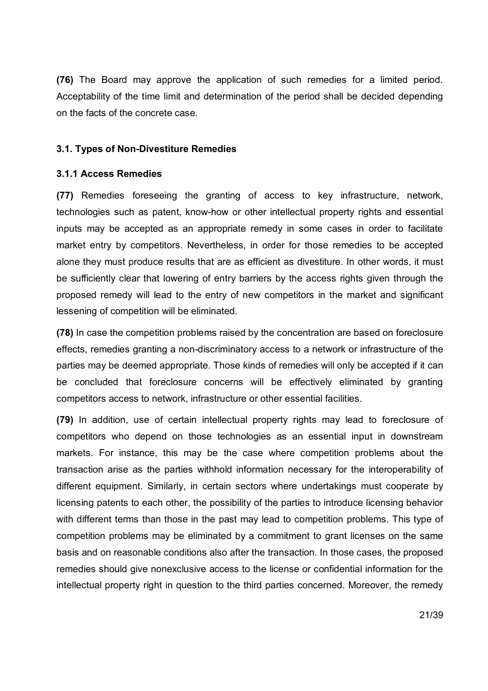**(76)** The Board may approve the application of such remedies for a limited period. Acceptability of the time limit and determination of the period shall be decided depending on the facts of the concrete case.

## **3.1. Types of Non-Divestiture Remedies**

## **3.1.1 Access Remedies**

**(77)** Remedies foreseeing the granting of access to key infrastructure, network, technologies such as patent, know-how or other intellectual property rights and essential inputs may be accepted as an appropriate remedy in some cases in order to facilitate market entry by competitors. Nevertheless, in order for those remedies to be accepted alone they must produce results that are as efficient as divestiture. In other words, it must be sufficiently clear that lowering of entry barriers by the access rights given through the proposed remedy will lead to the entry of new competitors in the market and significant lessening of competition will be eliminated.

**(78)** In case the competition problems raised by the concentration are based on foreclosure effects, remedies granting a non-discriminatory access to a network or infrastructure of the parties may be deemed appropriate. Those kinds of remedies will only be accepted if it can be concluded that foreclosure concerns will be effectively eliminated by granting competitors access to network, infrastructure or other essential facilities.

**(79)** In addition, use of certain intellectual property rights may lead to foreclosure of competitors who depend on those technologies as an essential input in downstream markets. For instance, this may be the case where competition problems about the transaction arise as the parties withhold information necessary for the interoperability of different equipment. Similarly, in certain sectors where undertakings must cooperate by licensing patents to each other, the possibility of the parties to introduce licensing behavior with different terms than those in the past may lead to competition problems. This type of competition problems may be eliminated by a commitment to grant licenses on the same basis and on reasonable conditions also after the transaction. In those cases, the proposed remedies should give nonexclusive access to the license or confidential information for the intellectual property right in question to the third parties concerned. Moreover, the remedy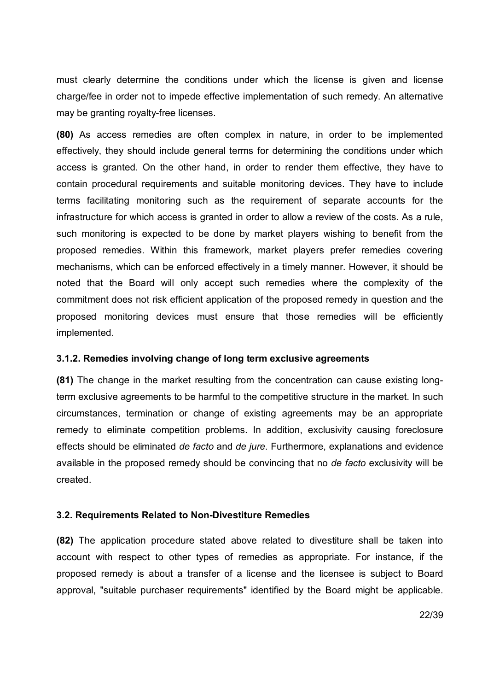must clearly determine the conditions under which the license is given and license charge/fee in order not to impede effective implementation of such remedy. An alternative may be granting royalty-free licenses.

**(80)** As access remedies are often complex in nature, in order to be implemented effectively, they should include general terms for determining the conditions under which access is granted. On the other hand, in order to render them effective, they have to contain procedural requirements and suitable monitoring devices. They have to include terms facilitating monitoring such as the requirement of separate accounts for the infrastructure for which access is granted in order to allow a review of the costs. As a rule, such monitoring is expected to be done by market players wishing to benefit from the proposed remedies. Within this framework, market players prefer remedies covering mechanisms, which can be enforced effectively in a timely manner. However, it should be noted that the Board will only accept such remedies where the complexity of the commitment does not risk efficient application of the proposed remedy in question and the proposed monitoring devices must ensure that those remedies will be efficiently implemented.

#### **3.1.2. Remedies involving change of long term exclusive agreements**

**(81)** The change in the market resulting from the concentration can cause existing longterm exclusive agreements to be harmful to the competitive structure in the market. In such circumstances, termination or change of existing agreements may be an appropriate remedy to eliminate competition problems. In addition, exclusivity causing foreclosure effects should be eliminated *de facto* and *de jure*. Furthermore, explanations and evidence available in the proposed remedy should be convincing that no *de facto* exclusivity will be created.

#### **3.2. Requirements Related to Non-Divestiture Remedies**

**(82)** The application procedure stated above related to divestiture shall be taken into account with respect to other types of remedies as appropriate. For instance, if the proposed remedy is about a transfer of a license and the licensee is subject to Board approval, "suitable purchaser requirements" identified by the Board might be applicable.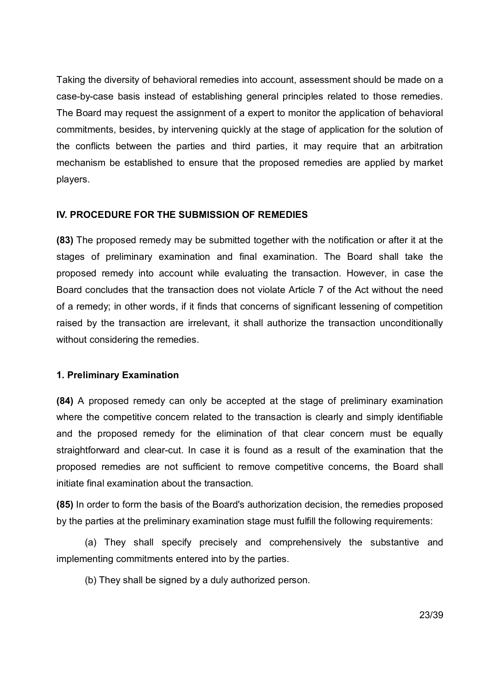Taking the diversity of behavioral remedies into account, assessment should be made on a case-by-case basis instead of establishing general principles related to those remedies. The Board may request the assignment of a expert to monitor the application of behavioral commitments, besides, by intervening quickly at the stage of application for the solution of the conflicts between the parties and third parties, it may require that an arbitration mechanism be established to ensure that the proposed remedies are applied by market players.

## **IV. PROCEDURE FOR THE SUBMISSION OF REMEDIES**

**(83)** The proposed remedy may be submitted together with the notification or after it at the stages of preliminary examination and final examination. The Board shall take the proposed remedy into account while evaluating the transaction. However, in case the Board concludes that the transaction does not violate Article 7 of the Act without the need of a remedy; in other words, if it finds that concerns of significant lessening of competition raised by the transaction are irrelevant, it shall authorize the transaction unconditionally without considering the remedies.

#### **1. Preliminary Examination**

**(84)** A proposed remedy can only be accepted at the stage of preliminary examination where the competitive concern related to the transaction is clearly and simply identifiable and the proposed remedy for the elimination of that clear concern must be equally straightforward and clear-cut. In case it is found as a result of the examination that the proposed remedies are not sufficient to remove competitive concerns, the Board shall initiate final examination about the transaction.

**(85)** In order to form the basis of the Board's authorization decision, the remedies proposed by the parties at the preliminary examination stage must fulfill the following requirements:

(a) They shall specify precisely and comprehensively the substantive and implementing commitments entered into by the parties.

(b) They shall be signed by a duly authorized person.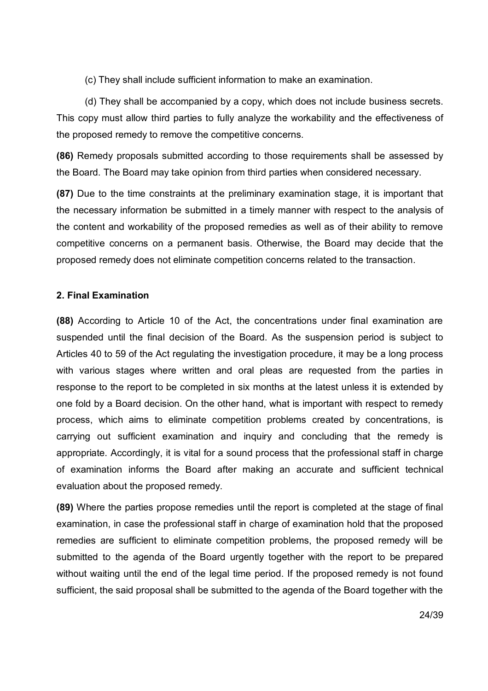(c) They shall include sufficient information to make an examination.

(d) They shall be accompanied by a copy, which does not include business secrets. This copy must allow third parties to fully analyze the workability and the effectiveness of the proposed remedy to remove the competitive concerns.

**(86)** Remedy proposals submitted according to those requirements shall be assessed by the Board. The Board may take opinion from third parties when considered necessary.

**(87)** Due to the time constraints at the preliminary examination stage, it is important that the necessary information be submitted in a timely manner with respect to the analysis of the content and workability of the proposed remedies as well as of their ability to remove competitive concerns on a permanent basis. Otherwise, the Board may decide that the proposed remedy does not eliminate competition concerns related to the transaction.

## **2. Final Examination**

**(88)** According to Article 10 of the Act, the concentrations under final examination are suspended until the final decision of the Board. As the suspension period is subject to Articles 40 to 59 of the Act regulating the investigation procedure, it may be a long process with various stages where written and oral pleas are requested from the parties in response to the report to be completed in six months at the latest unless it is extended by one fold by a Board decision. On the other hand, what is important with respect to remedy process, which aims to eliminate competition problems created by concentrations, is carrying out sufficient examination and inquiry and concluding that the remedy is appropriate. Accordingly, it is vital for a sound process that the professional staff in charge of examination informs the Board after making an accurate and sufficient technical evaluation about the proposed remedy.

**(89)** Where the parties propose remedies until the report is completed at the stage of final examination, in case the professional staff in charge of examination hold that the proposed remedies are sufficient to eliminate competition problems, the proposed remedy will be submitted to the agenda of the Board urgently together with the report to be prepared without waiting until the end of the legal time period. If the proposed remedy is not found sufficient, the said proposal shall be submitted to the agenda of the Board together with the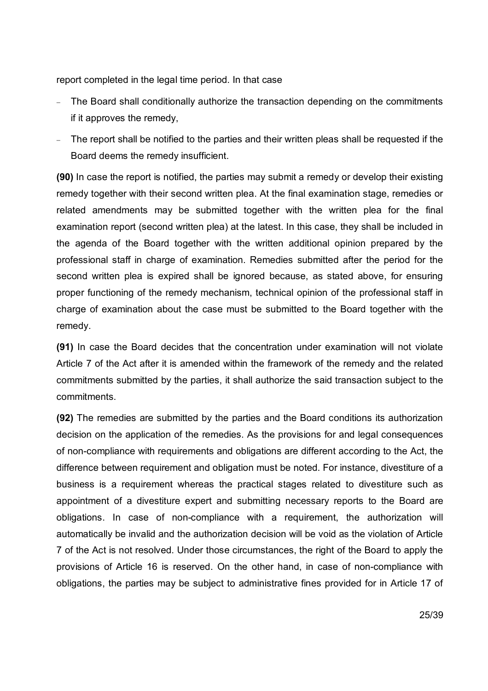report completed in the legal time period. In that case

- The Board shall conditionally authorize the transaction depending on the commitments if it approves the remedy,
- The report shall be notified to the parties and their written pleas shall be requested if the Board deems the remedy insufficient.

**(90)** In case the report is notified, the parties may submit a remedy or develop their existing remedy together with their second written plea. At the final examination stage, remedies or related amendments may be submitted together with the written plea for the final examination report (second written plea) at the latest. In this case, they shall be included in the agenda of the Board together with the written additional opinion prepared by the professional staff in charge of examination. Remedies submitted after the period for the second written plea is expired shall be ignored because, as stated above, for ensuring proper functioning of the remedy mechanism, technical opinion of the professional staff in charge of examination about the case must be submitted to the Board together with the remedy.

**(91)** In case the Board decides that the concentration under examination will not violate Article 7 of the Act after it is amended within the framework of the remedy and the related commitments submitted by the parties, it shall authorize the said transaction subject to the commitments.

**(92)** The remedies are submitted by the parties and the Board conditions its authorization decision on the application of the remedies. As the provisions for and legal consequences of non-compliance with requirements and obligations are different according to the Act, the difference between requirement and obligation must be noted. For instance, divestiture of a business is a requirement whereas the practical stages related to divestiture such as appointment of a divestiture expert and submitting necessary reports to the Board are obligations. In case of non-compliance with a requirement, the authorization will automatically be invalid and the authorization decision will be void as the violation of Article 7 of the Act is not resolved. Under those circumstances, the right of the Board to apply the provisions of Article 16 is reserved. On the other hand, in case of non-compliance with obligations, the parties may be subject to administrative fines provided for in Article 17 of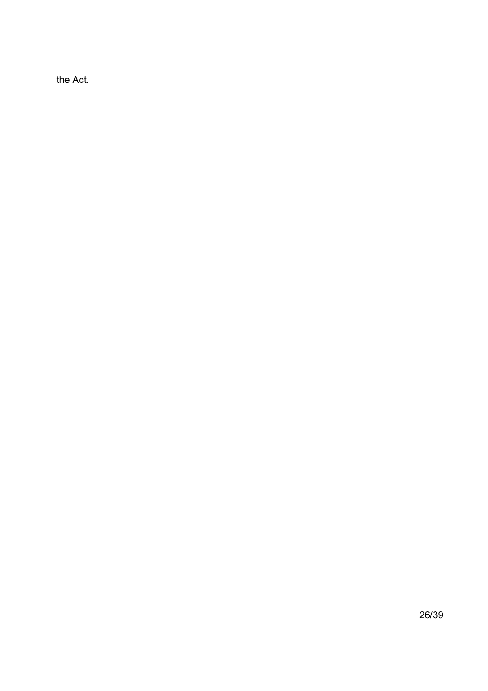the Act.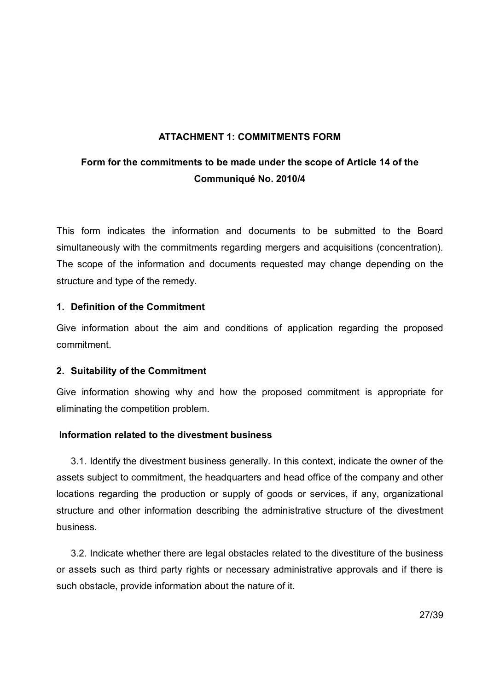# **ATTACHMENT 1: COMMITMENTS FORM**

# **Form for the commitments to be made under the scope of Article 14 of the Communiqué No. 2010/4**

This form indicates the information and documents to be submitted to the Board simultaneously with the commitments regarding mergers and acquisitions (concentration). The scope of the information and documents requested may change depending on the structure and type of the remedy.

# **1. Definition of the Commitment**

Give information about the aim and conditions of application regarding the proposed commitment.

# **2. Suitability of the Commitment**

Give information showing why and how the proposed commitment is appropriate for eliminating the competition problem.

# **Information related to the divestment business**

3.1. Identify the divestment business generally. In this context, indicate the owner of the assets subject to commitment, the headquarters and head office of the company and other locations regarding the production or supply of goods or services, if any, organizational structure and other information describing the administrative structure of the divestment business.

3.2. Indicate whether there are legal obstacles related to the divestiture of the business or assets such as third party rights or necessary administrative approvals and if there is such obstacle, provide information about the nature of it.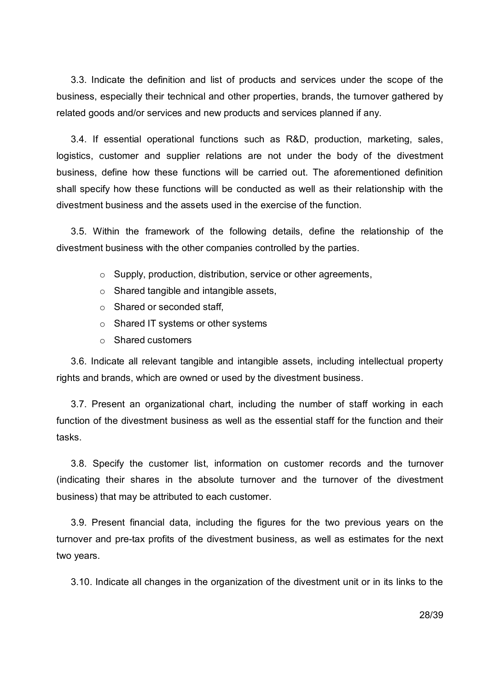3.3. Indicate the definition and list of products and services under the scope of the business, especially their technical and other properties, brands, the turnover gathered by related goods and/or services and new products and services planned if any.

3.4. If essential operational functions such as R&D, production, marketing, sales, logistics, customer and supplier relations are not under the body of the divestment business, define how these functions will be carried out. The aforementioned definition shall specify how these functions will be conducted as well as their relationship with the divestment business and the assets used in the exercise of the function.

3.5. Within the framework of the following details, define the relationship of the divestment business with the other companies controlled by the parties.

- o Supply, production, distribution, service or other agreements,
- o Shared tangible and intangible assets,
- o Shared or seconded staff,
- o Shared IT systems or other systems
- o Shared customers

3.6. Indicate all relevant tangible and intangible assets, including intellectual property rights and brands, which are owned or used by the divestment business.

3.7. Present an organizational chart, including the number of staff working in each function of the divestment business as well as the essential staff for the function and their tasks.

3.8. Specify the customer list, information on customer records and the turnover (indicating their shares in the absolute turnover and the turnover of the divestment business) that may be attributed to each customer.

3.9. Present financial data, including the figures for the two previous years on the turnover and pre-tax profits of the divestment business, as well as estimates for the next two years.

3.10. Indicate all changes in the organization of the divestment unit or in its links to the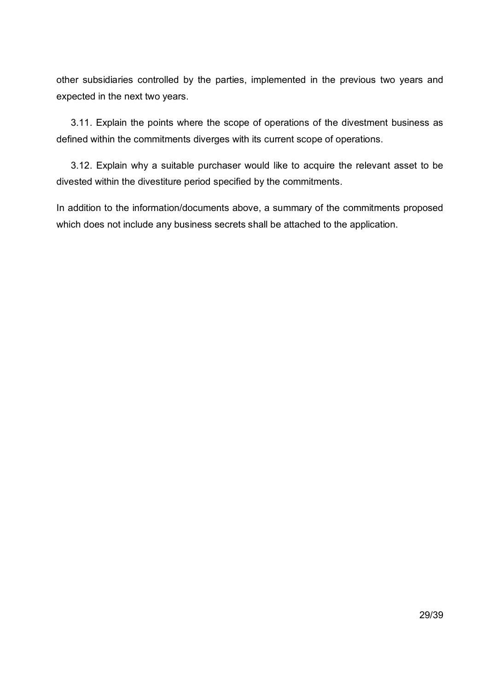other subsidiaries controlled by the parties, implemented in the previous two years and expected in the next two years.

3.11. Explain the points where the scope of operations of the divestment business as defined within the commitments diverges with its current scope of operations.

3.12. Explain why a suitable purchaser would like to acquire the relevant asset to be divested within the divestiture period specified by the commitments.

In addition to the information/documents above, a summary of the commitments proposed which does not include any business secrets shall be attached to the application.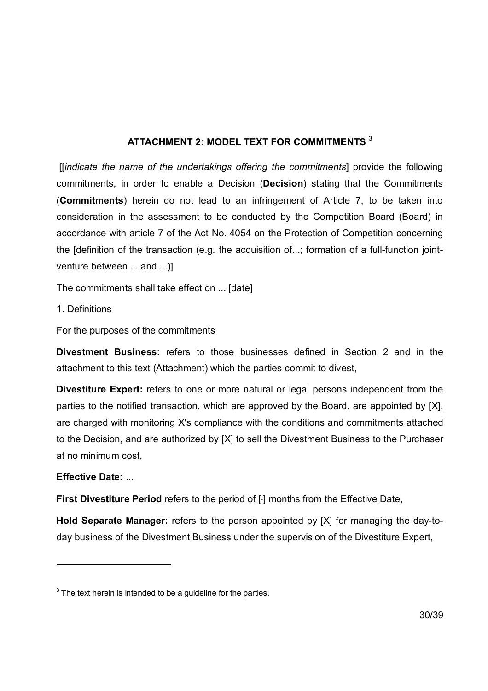# **ATTACHMENT 2: MODEL TEXT FOR COMMITMENTS** <sup>3</sup>

 [[*indicate the name of the undertakings offering the commitments*] provide the following commitments, in order to enable a Decision (**Decision**) stating that the Commitments (**Commitments**) herein do not lead to an infringement of Article 7, to be taken into consideration in the assessment to be conducted by the Competition Board (Board) in accordance with article 7 of the Act No. 4054 on the Protection of Competition concerning the [definition of the transaction (e.g. the acquisition of...; formation of a full-function jointventure between ... and ...)]

The commitments shall take effect on ... [date]

1. Definitions

For the purposes of the commitments

**Divestment Business:** refers to those businesses defined in Section 2 and in the attachment to this text (Attachment) which the parties commit to divest,

**Divestiture Expert:** refers to one or more natural or legal persons independent from the parties to the notified transaction, which are approved by the Board, are appointed by [X], are charged with monitoring X's compliance with the conditions and commitments attached to the Decision, and are authorized by [X] to sell the Divestment Business to the Purchaser at no minimum cost,

# **Effective Date:** ...

-

**First Divestiture Period** refers to the period of [1] months from the Effective Date,

**Hold Separate Manager:** refers to the person appointed by [X] for managing the day-today business of the Divestment Business under the supervision of the Divestiture Expert,

 $3$  The text herein is intended to be a guideline for the parties.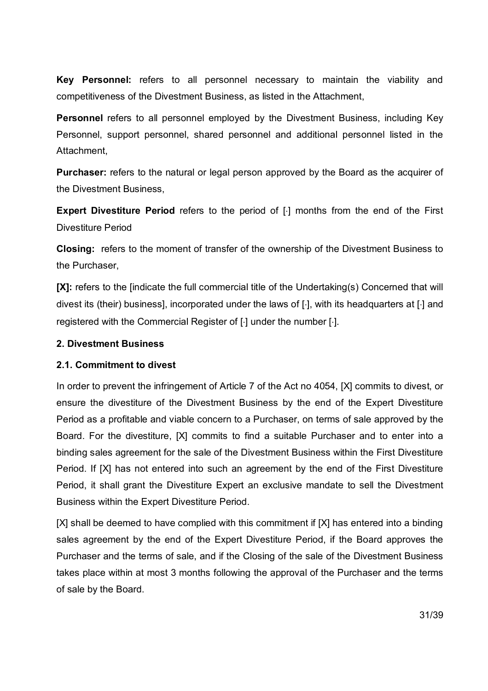**Key Personnel:** refers to all personnel necessary to maintain the viability and competitiveness of the Divestment Business, as listed in the Attachment,

**Personnel** refers to all personnel employed by the Divestment Business, including Key Personnel, support personnel, shared personnel and additional personnel listed in the Attachment,

**Purchaser:** refers to the natural or legal person approved by the Board as the acquirer of the Divestment Business,

**Expert Divestiture Period** refers to the period of [·] months from the end of the First Divestiture Period

**Closing:** refers to the moment of transfer of the ownership of the Divestment Business to the Purchaser,

**[X]:** refers to the [indicate the full commercial title of the Undertaking(s) Concerned that will divest its (their) business], incorporated under the laws of  $\lceil \cdot \rceil$ , with its headquarters at  $\lceil \cdot \rceil$  and registered with the Commercial Register of [·] under the number [·].

## **2. Divestment Business**

# **2.1. Commitment to divest**

In order to prevent the infringement of Article 7 of the Act no 4054, [X] commits to divest, or ensure the divestiture of the Divestment Business by the end of the Expert Divestiture Period as a profitable and viable concern to a Purchaser, on terms of sale approved by the Board. For the divestiture, [X] commits to find a suitable Purchaser and to enter into a binding sales agreement for the sale of the Divestment Business within the First Divestiture Period. If [X] has not entered into such an agreement by the end of the First Divestiture Period, it shall grant the Divestiture Expert an exclusive mandate to sell the Divestment Business within the Expert Divestiture Period.

[X] shall be deemed to have complied with this commitment if [X] has entered into a binding sales agreement by the end of the Expert Divestiture Period, if the Board approves the Purchaser and the terms of sale, and if the Closing of the sale of the Divestment Business takes place within at most 3 months following the approval of the Purchaser and the terms of sale by the Board.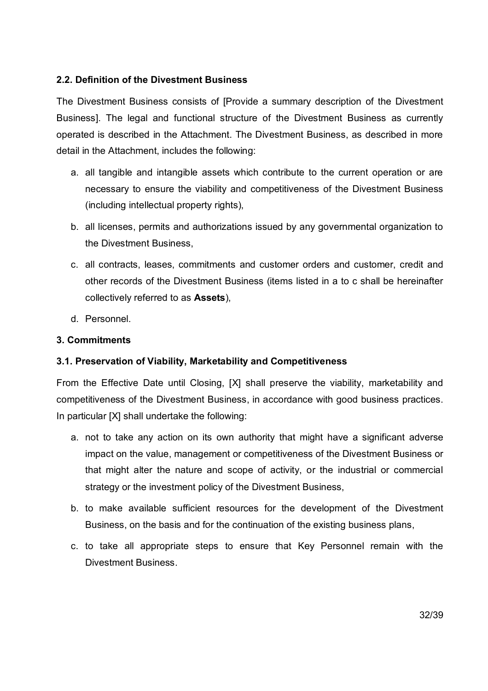# **2.2. Definition of the Divestment Business**

The Divestment Business consists of [Provide a summary description of the Divestment Business]. The legal and functional structure of the Divestment Business as currently operated is described in the Attachment. The Divestment Business, as described in more detail in the Attachment, includes the following:

- a. all tangible and intangible assets which contribute to the current operation or are necessary to ensure the viability and competitiveness of the Divestment Business (including intellectual property rights),
- b. all licenses, permits and authorizations issued by any governmental organization to the Divestment Business,
- c. all contracts, leases, commitments and customer orders and customer, credit and other records of the Divestment Business (items listed in a to c shall be hereinafter collectively referred to as **Assets**),
- d. Personnel.

# **3. Commitments**

# **3.1. Preservation of Viability, Marketability and Competitiveness**

From the Effective Date until Closing, [X] shall preserve the viability, marketability and competitiveness of the Divestment Business, in accordance with good business practices. In particular [X] shall undertake the following:

- a. not to take any action on its own authority that might have a significant adverse impact on the value, management or competitiveness of the Divestment Business or that might alter the nature and scope of activity, or the industrial or commercial strategy or the investment policy of the Divestment Business,
- b. to make available sufficient resources for the development of the Divestment Business, on the basis and for the continuation of the existing business plans,
- c. to take all appropriate steps to ensure that Key Personnel remain with the Divestment Business.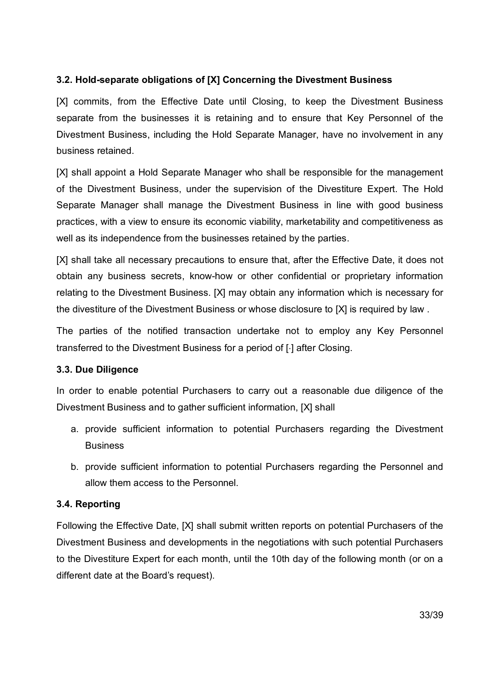# **3.2. Hold-separate obligations of [X] Concerning the Divestment Business**

[X] commits, from the Effective Date until Closing, to keep the Divestment Business separate from the businesses it is retaining and to ensure that Key Personnel of the Divestment Business, including the Hold Separate Manager, have no involvement in any business retained.

[X] shall appoint a Hold Separate Manager who shall be responsible for the management of the Divestment Business, under the supervision of the Divestiture Expert. The Hold Separate Manager shall manage the Divestment Business in line with good business practices, with a view to ensure its economic viability, marketability and competitiveness as well as its independence from the businesses retained by the parties.

[X] shall take all necessary precautions to ensure that, after the Effective Date, it does not obtain any business secrets, know-how or other confidential or proprietary information relating to the Divestment Business. [X] may obtain any information which is necessary for the divestiture of the Divestment Business or whose disclosure to [X] is required by law .

The parties of the notified transaction undertake not to employ any Key Personnel transferred to the Divestment Business for a period of [·] after Closing.

# **3.3. Due Diligence**

In order to enable potential Purchasers to carry out a reasonable due diligence of the Divestment Business and to gather sufficient information, [X] shall

- a. provide sufficient information to potential Purchasers regarding the Divestment **Business**
- b. provide sufficient information to potential Purchasers regarding the Personnel and allow them access to the Personnel.

# **3.4. Reporting**

Following the Effective Date, [X] shall submit written reports on potential Purchasers of the Divestment Business and developments in the negotiations with such potential Purchasers to the Divestiture Expert for each month, until the 10th day of the following month (or on a different date at the Board's request).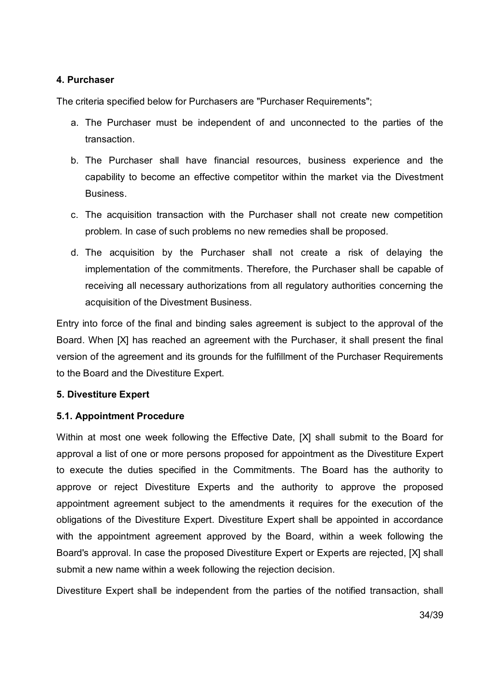# **4. Purchaser**

The criteria specified below for Purchasers are "Purchaser Requirements";

- a. The Purchaser must be independent of and unconnected to the parties of the transaction.
- b. The Purchaser shall have financial resources, business experience and the capability to become an effective competitor within the market via the Divestment Business.
- c. The acquisition transaction with the Purchaser shall not create new competition problem. In case of such problems no new remedies shall be proposed.
- d. The acquisition by the Purchaser shall not create a risk of delaying the implementation of the commitments. Therefore, the Purchaser shall be capable of receiving all necessary authorizations from all regulatory authorities concerning the acquisition of the Divestment Business.

Entry into force of the final and binding sales agreement is subject to the approval of the Board. When [X] has reached an agreement with the Purchaser, it shall present the final version of the agreement and its grounds for the fulfillment of the Purchaser Requirements to the Board and the Divestiture Expert.

# **5. Divestiture Expert**

# **5.1. Appointment Procedure**

Within at most one week following the Effective Date, [X] shall submit to the Board for approval a list of one or more persons proposed for appointment as the Divestiture Expert to execute the duties specified in the Commitments. The Board has the authority to approve or reject Divestiture Experts and the authority to approve the proposed appointment agreement subject to the amendments it requires for the execution of the obligations of the Divestiture Expert. Divestiture Expert shall be appointed in accordance with the appointment agreement approved by the Board, within a week following the Board's approval. In case the proposed Divestiture Expert or Experts are rejected, [X] shall submit a new name within a week following the rejection decision.

Divestiture Expert shall be independent from the parties of the notified transaction, shall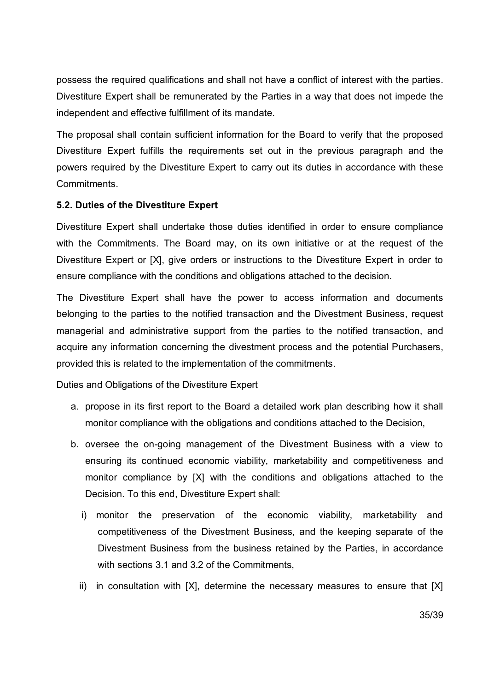possess the required qualifications and shall not have a conflict of interest with the parties. Divestiture Expert shall be remunerated by the Parties in a way that does not impede the independent and effective fulfillment of its mandate.

The proposal shall contain sufficient information for the Board to verify that the proposed Divestiture Expert fulfills the requirements set out in the previous paragraph and the powers required by the Divestiture Expert to carry out its duties in accordance with these Commitments.

# **5.2. Duties of the Divestiture Expert**

Divestiture Expert shall undertake those duties identified in order to ensure compliance with the Commitments. The Board may, on its own initiative or at the request of the Divestiture Expert or [X], give orders or instructions to the Divestiture Expert in order to ensure compliance with the conditions and obligations attached to the decision.

The Divestiture Expert shall have the power to access information and documents belonging to the parties to the notified transaction and the Divestment Business, request managerial and administrative support from the parties to the notified transaction, and acquire any information concerning the divestment process and the potential Purchasers, provided this is related to the implementation of the commitments.

Duties and Obligations of the Divestiture Expert

- a. propose in its first report to the Board a detailed work plan describing how it shall monitor compliance with the obligations and conditions attached to the Decision,
- b. oversee the on-going management of the Divestment Business with a view to ensuring its continued economic viability, marketability and competitiveness and monitor compliance by [X] with the conditions and obligations attached to the Decision. To this end, Divestiture Expert shall:
	- i) monitor the preservation of the economic viability, marketability and competitiveness of the Divestment Business, and the keeping separate of the Divestment Business from the business retained by the Parties, in accordance with sections 3.1 and 3.2 of the Commitments.
	- ii) in consultation with [X], determine the necessary measures to ensure that [X]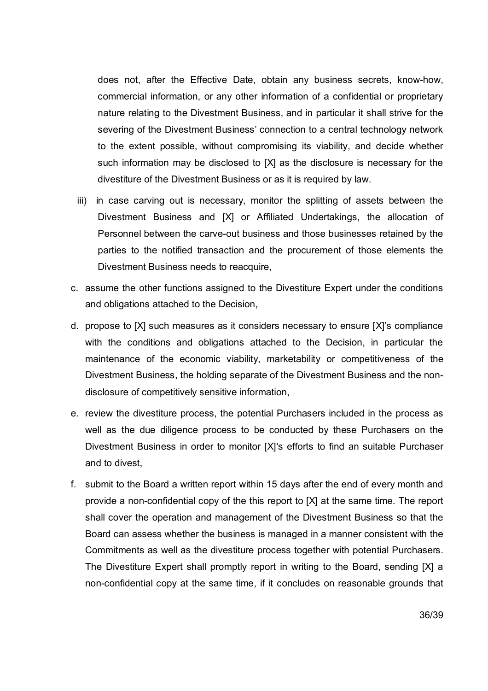does not, after the Effective Date, obtain any business secrets, know-how, commercial information, or any other information of a confidential or proprietary nature relating to the Divestment Business, and in particular it shall strive for the severing of the Divestment Business' connection to a central technology network to the extent possible, without compromising its viability, and decide whether such information may be disclosed to [X] as the disclosure is necessary for the divestiture of the Divestment Business or as it is required by law.

- iii) in case carving out is necessary, monitor the splitting of assets between the Divestment Business and [X] or Affiliated Undertakings, the allocation of Personnel between the carve-out business and those businesses retained by the parties to the notified transaction and the procurement of those elements the Divestment Business needs to reacquire,
- c. assume the other functions assigned to the Divestiture Expert under the conditions and obligations attached to the Decision,
- d. propose to [X] such measures as it considers necessary to ensure [X]'s compliance with the conditions and obligations attached to the Decision, in particular the maintenance of the economic viability, marketability or competitiveness of the Divestment Business, the holding separate of the Divestment Business and the nondisclosure of competitively sensitive information,
- e. review the divestiture process, the potential Purchasers included in the process as well as the due diligence process to be conducted by these Purchasers on the Divestment Business in order to monitor [X]'s efforts to find an suitable Purchaser and to divest,
- f. submit to the Board a written report within 15 days after the end of every month and provide a non-confidential copy of the this report to [X] at the same time. The report shall cover the operation and management of the Divestment Business so that the Board can assess whether the business is managed in a manner consistent with the Commitments as well as the divestiture process together with potential Purchasers. The Divestiture Expert shall promptly report in writing to the Board, sending [X] a non-confidential copy at the same time, if it concludes on reasonable grounds that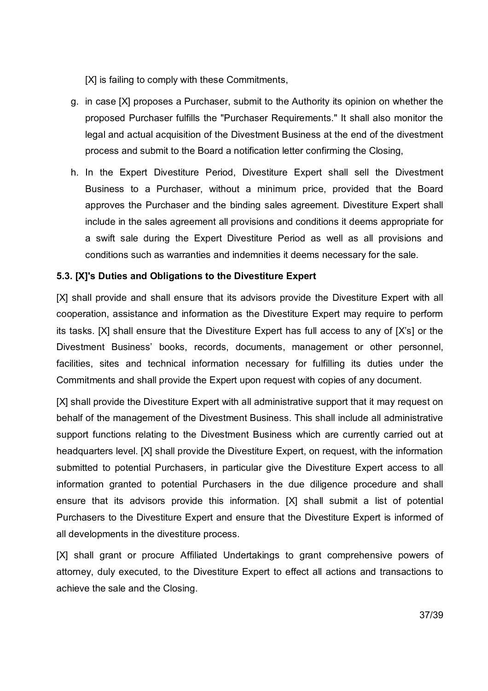[X] is failing to comply with these Commitments,

- g. in case [X] proposes a Purchaser, submit to the Authority its opinion on whether the proposed Purchaser fulfills the "Purchaser Requirements." It shall also monitor the legal and actual acquisition of the Divestment Business at the end of the divestment process and submit to the Board a notification letter confirming the Closing,
- h. In the Expert Divestiture Period, Divestiture Expert shall sell the Divestment Business to a Purchaser, without a minimum price, provided that the Board approves the Purchaser and the binding sales agreement. Divestiture Expert shall include in the sales agreement all provisions and conditions it deems appropriate for a swift sale during the Expert Divestiture Period as well as all provisions and conditions such as warranties and indemnities it deems necessary for the sale.

# **5.3. [X]'s Duties and Obligations to the Divestiture Expert**

[X] shall provide and shall ensure that its advisors provide the Divestiture Expert with all cooperation, assistance and information as the Divestiture Expert may require to perform its tasks. [X] shall ensure that the Divestiture Expert has full access to any of [X's] or the Divestment Business' books, records, documents, management or other personnel, facilities, sites and technical information necessary for fulfilling its duties under the Commitments and shall provide the Expert upon request with copies of any document.

[X] shall provide the Divestiture Expert with all administrative support that it may request on behalf of the management of the Divestment Business. This shall include all administrative support functions relating to the Divestment Business which are currently carried out at headquarters level. [X] shall provide the Divestiture Expert, on request, with the information submitted to potential Purchasers, in particular give the Divestiture Expert access to all information granted to potential Purchasers in the due diligence procedure and shall ensure that its advisors provide this information. [X] shall submit a list of potential Purchasers to the Divestiture Expert and ensure that the Divestiture Expert is informed of all developments in the divestiture process.

[X] shall grant or procure Affiliated Undertakings to grant comprehensive powers of attorney, duly executed, to the Divestiture Expert to effect all actions and transactions to achieve the sale and the Closing.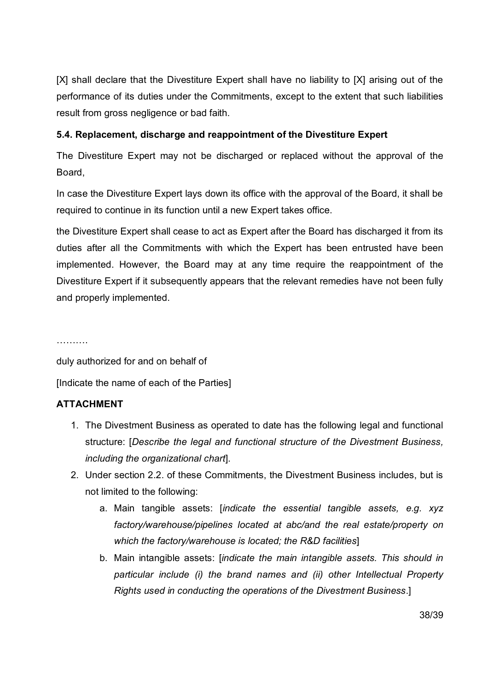[X] shall declare that the Divestiture Expert shall have no liability to [X] arising out of the performance of its duties under the Commitments, except to the extent that such liabilities result from gross negligence or bad faith.

# **5.4. Replacement, discharge and reappointment of the Divestiture Expert**

The Divestiture Expert may not be discharged or replaced without the approval of the Board,

In case the Divestiture Expert lays down its office with the approval of the Board, it shall be required to continue in its function until a new Expert takes office.

the Divestiture Expert shall cease to act as Expert after the Board has discharged it from its duties after all the Commitments with which the Expert has been entrusted have been implemented. However, the Board may at any time require the reappointment of the Divestiture Expert if it subsequently appears that the relevant remedies have not been fully and properly implemented.

……….

duly authorized for and on behalf of [Indicate the name of each of the Parties]

# **ATTACHMENT**

- 1. The Divestment Business as operated to date has the following legal and functional structure: [*Describe the legal and functional structure of the Divestment Business, including the organizational chart*].
- 2. Under section 2.2. of these Commitments, the Divestment Business includes, but is not limited to the following:
	- a. Main tangible assets: [*indicate the essential tangible assets, e.g. xyz factory/warehouse/pipelines located at abc/and the real estate/property on which the factory/warehouse is located; the R&D facilities*]
	- b. Main intangible assets: [*indicate the main intangible assets. This should in particular include (i) the brand names and (ii) other Intellectual Property Rights used in conducting the operations of the Divestment Business*.]